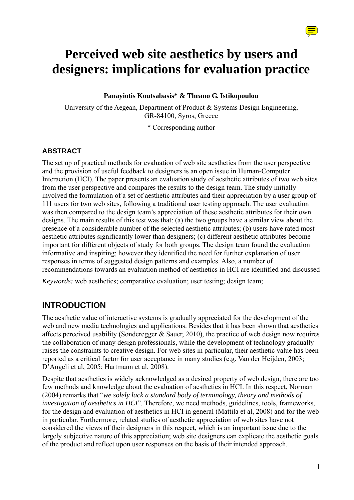

# **Perceived web site aesthetics by users and designers: implications for evaluation practice**

**Panayiotis Koutsabasis\* & Theano G. Istikopoulou** 

University of the Aegean, Department of Product & Systems Design Engineering, GR-84100, Syros, Greece

\* Corresponding author

### **ABSTRACT**

The set up of practical methods for evaluation of web site aesthetics from the user perspective and the provision of useful feedback to designers is an open issue in Human-Computer Interaction (HCI). The paper presents an evaluation study of aesthetic attributes of two web sites from the user perspective and compares the results to the design team. The study initially involved the formulation of a set of aesthetic attributes and their appreciation by a user group of 111 users for two web sites, following a traditional user testing approach. The user evaluation was then compared to the design team's appreciation of these aesthetic attributes for their own designs. The main results of this test was that: (a) the two groups have a similar view about the presence of a considerable number of the selected aesthetic attributes; (b) users have rated most aesthetic attributes significantly lower than designers; (c) different aesthetic attributes become important for different objects of study for both groups. The design team found the evaluation informative and inspiring; however they identified the need for further explanation of user responses in terms of suggested design patterns and examples. Also, a number of recommendations towards an evaluation method of aesthetics in HCI are identified and discussed

*Keywords:* web aesthetics; comparative evaluation; user testing; design team;

### **INTRODUCTION**

The aesthetic value of interactive systems is gradually appreciated for the development of the web and new media technologies and applications. Besides that it has been shown that aesthetics affects perceived usability (Sonderegger & Sauer, 2010), the practice of web design now requires the collaboration of many design professionals, while the development of technology gradually raises the constraints to creative design. For web sites in particular, their aesthetic value has been reported as a critical factor for user acceptance in many studies (e.g. Van der Heijden, 2003; D'Angeli et al, 2005; Hartmann et al, 2008).

Despite that aesthetics is widely acknowledged as a desired property of web design, there are too few methods and knowledge about the evaluation of aesthetics in HCI. In this respect, Norman (2004) remarks that "*we solely lack a standard body of terminology, theory and methods of investigation of aesthetics in HCI*". Therefore, we need methods, guidelines, tools, frameworks, for the design and evaluation of aesthetics in HCI in general (Mattila et al, 2008) and for the web in particular. Furthermore, related studies of aesthetic appreciation of web sites have not considered the views of their designers in this respect, which is an important issue due to the largely subjective nature of this appreciation; web site designers can explicate the aesthetic goals of the product and reflect upon user responses on the basis of their intended approach.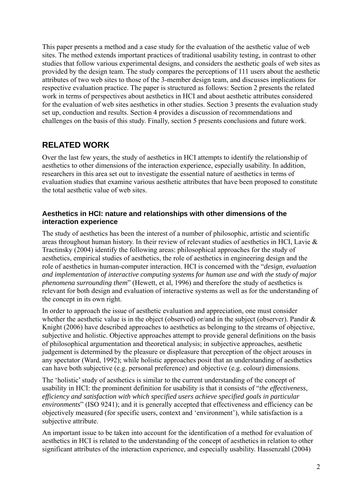This paper presents a method and a case study for the evaluation of the aesthetic value of web sites. The method extends important practices of traditional usability testing, in contrast to other studies that follow various experimental designs, and considers the aesthetic goals of web sites as provided by the design team. The study compares the perceptions of 111 users about the aesthetic attributes of two web sites to those of the 3-member design team, and discusses implications for respective evaluation practice. The paper is structured as follows: Section 2 presents the related work in terms of perspectives about aesthetics in HCI and about aesthetic attributes considered for the evaluation of web sites aesthetics in other studies. Section 3 presents the evaluation study set up, conduction and results. Section 4 provides a discussion of recommendations and challenges on the basis of this study. Finally, section 5 presents conclusions and future work.

# **RELATED WORK**

Over the last few years, the study of aesthetics in HCI attempts to identify the relationship of aesthetics to other dimensions of the interaction experience, especially usability. In addition, researchers in this area set out to investigate the essential nature of aesthetics in terms of evaluation studies that examine various aesthetic attributes that have been proposed to constitute the total aesthetic value of web sites.

### **Aesthetics in HCI: nature and relationships with other dimensions of the interaction experience**

The study of aesthetics has been the interest of a number of philosophic, artistic and scientific areas throughout human history. In their review of relevant studies of aesthetics in HCI, Lavie & Tractinsky (2004) identify the following areas: philosophical approaches for the study of aesthetics, empirical studies of aesthetics, the role of aesthetics in engineering design and the role of aesthetics in human-computer interaction. HCI is concerned with the "*design, evaluation and implementation of interactive computing systems for human use and with the study of major phenomena surrounding them*" (Hewett, et al. 1996) and therefore the study of aesthetics is relevant for both design and evaluation of interactive systems as well as for the understanding of the concept in its own right.

In order to approach the issue of aesthetic evaluation and appreciation, one must consider whether the aesthetic value is in the object (observed) or/and in the subject (observer). Pandir & Knight (2006) have described approaches to aesthetics as belonging to the streams of objective, subjective and holistic. Objective approaches attempt to provide general definitions on the basis of philosophical argumentation and theoretical analysis; in subjective approaches, aesthetic judgement is determined by the pleasure or displeasure that perception of the object arouses in any spectator (Ward, 1992); while holistic approaches posit that an understanding of aesthetics can have both subjective (e.g. personal preference) and objective (e.g. colour) dimensions.

The 'holistic' study of aesthetics is similar to the current understanding of the concept of usability in HCI: the prominent definition for usability is that it consists of "*the effectiveness, efficiency and satisfaction with which specified users achieve specified goals in particular environments*" (ISO 9241); and it is generally accepted that effectiveness and efficiency can be objectively measured (for specific users, context and 'environment'), while satisfaction is a subjective attribute.

An important issue to be taken into account for the identification of a method for evaluation of aesthetics in HCI is related to the understanding of the concept of aesthetics in relation to other significant attributes of the interaction experience, and especially usability. Hassenzahl (2004)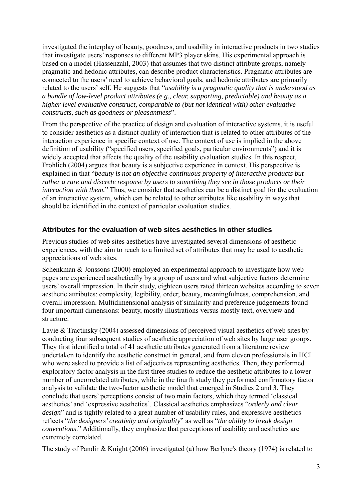investigated the interplay of beauty, goodness, and usability in interactive products in two studies that investigate users' responses to different MP3 player skins. His experimental approach is based on a model (Hassenzahl, 2003) that assumes that two distinct attribute groups, namely pragmatic and hedonic attributes, can describe product characteristics. Pragmatic attributes are connected to the users' need to achieve behavioral goals, and hedonic attributes are primarily related to the users' self. He suggests that "*usability is a pragmatic quality that is understood as a bundle of low-level product attributes (e.g., clear, supporting, predictable) and beauty as a higher level evaluative construct, comparable to (but not identical with) other evaluative constructs, such as goodness or pleasantness*".

From the perspective of the practice of design and evaluation of interactive systems, it is useful to consider aesthetics as a distinct quality of interaction that is related to other attributes of the interaction experience in specific context of use. The context of use is implied in the above definition of usability ("specified users, specified goals, particular environments") and it is widely accepted that affects the quality of the usability evaluation studies. In this respect, Frohlich (2004) argues that beauty is a subjective experience in context. His perspective is explained in that "*beauty is not an objective continuous property of interactive products but rather a rare and discrete response by users to something they see in those products or their interaction with them.*" Thus, we consider that aesthetics can be a distinct goal for the evaluation of an interactive system, which can be related to other attributes like usability in ways that should be identified in the context of particular evaluation studies.

### **Attributes for the evaluation of web sites aesthetics in other studies**

Previous studies of web sites aesthetics have investigated several dimensions of aesthetic experiences, with the aim to reach to a limited set of attributes that may be used to aesthetic appreciations of web sites.

Schenkman & Jonssons (2000) employed an experimental approach to investigate how web pages are experienced aesthetically by a group of users and what subjective factors determine users' overall impression. In their study, eighteen users rated thirteen websites according to seven aesthetic attributes: complexity, legibility, order, beauty, meaningfulness, comprehension, and overall impression. Multidimensional analysis of similarity and preference judgements found four important dimensions: beauty, mostly illustrations versus mostly text, overview and structure.

Lavie & Tractinsky (2004) assessed dimensions of perceived visual aesthetics of web sites by conducting four subsequent studies of aesthetic appreciation of web sites by large user groups. They first identified a total of 41 aesthetic attributes generated from a literature review undertaken to identify the aesthetic construct in general, and from eleven professionals in HCI who were asked to provide a list of adjectives representing aesthetics. Then, they performed exploratory factor analysis in the first three studies to reduce the aesthetic attributes to a lower number of uncorrelated attributes, while in the fourth study they performed confirmatory factor analysis to validate the two-factor aesthetic model that emerged in Studies 2 and 3. They conclude that users' perceptions consist of two main factors, which they termed 'classical aesthetics' and 'expressive aesthetics'. Classical aesthetics emphasizes "*orderly and clear design*" and is tightly related to a great number of usability rules, and expressive aesthetics reflects "*the designers' creativity and originality*" as well as "*the ability to break design conventions*." Additionally, they emphasize that perceptions of usability and aesthetics are extremely correlated.

The study of Pandir & Knight (2006) investigated (a) how Berlyne's theory (1974) is related to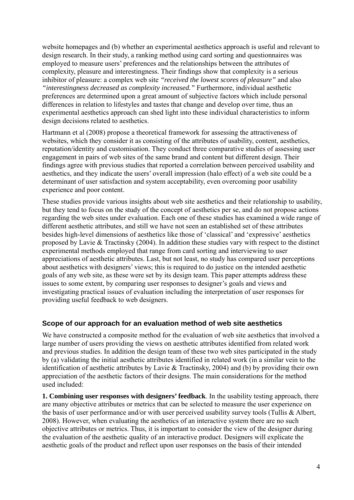website homepages and (b) whether an experimental aesthetics approach is useful and relevant to design research. In their study, a ranking method using card sorting and questionnaires was employed to measure users' preferences and the relationships between the attributes of complexity, pleasure and interestingness. Their findings show that complexity is a serious inhibitor of pleasure: a complex web site *"received the lowest scores of pleasure"* and also *"interestingness decreased as complexity increased."* Furthermore, individual aesthetic preferences are determined upon a great amount of subjective factors which include personal differences in relation to lifestyles and tastes that change and develop over time, thus an experimental aesthetics approach can shed light into these individual characteristics to inform design decisions related to aesthetics.

Hartmann et al (2008) propose a theoretical framework for assessing the attractiveness of websites, which they consider it as consisting of the attributes of usability, content, aesthetics, reputation/identity and customisation. They conduct three comparative studies of assessing user engagement in pairs of web sites of the same brand and content but different design. Their findings agree with previous studies that reported a correlation between perceived usability and aesthetics, and they indicate the users' overall impression (halo effect) of a web site could be a determinant of user satisfaction and system acceptability, even overcoming poor usability experience and poor content.

These studies provide various insights about web site aesthetics and their relationship to usability, but they tend to focus on the study of the concept of aesthetics per se, and do not propose actions regarding the web sites under evaluation. Each one of these studies has examined a wide range of different aesthetic attributes, and still we have not seen an established set of these attributes besides high-level dimensions of aesthetics like those of 'classical' and 'expressive' aesthetics proposed by Lavie & Tractinsky (2004). In addition these studies vary with respect to the distinct experimental methods employed that range from card sorting and interviewing to user appreciations of aesthetic attributes. Last, but not least, no study has compared user perceptions about aesthetics with designers' views; this is required to do justice on the intended aesthetic goals of any web site, as these were set by its design team. This paper attempts address these issues to some extent, by comparing user responses to designer's goals and views and investigating practical issues of evaluation including the interpretation of user responses for providing useful feedback to web designers.

#### **Scope of our approach for an evaluation method of web site aesthetics**

We have constructed a composite method for the evaluation of web site aesthetics that involved a large number of users providing the views on aesthetic attributes identified from related work and previous studies. In addition the design team of these two web sites participated in the study by (a) validating the initial aesthetic attributes identified in related work (in a similar vein to the identification of aesthetic attributes by Lavie & Tractinsky, 2004) and (b) by providing their own appreciation of the aesthetic factors of their designs. The main considerations for the method used included:

**1. Combining user responses with designers' feedback**. In the usability testing approach, there are many objective attributes or metrics that can be selected to measure the user experience on the basis of user performance and/or with user perceived usability survey tools (Tullis & Albert, 2008). However, when evaluating the aesthetics of an interactive system there are no such objective attributes or metrics. Thus, it is important to consider the view of the designer during the evaluation of the aesthetic quality of an interactive product. Designers will explicate the aesthetic goals of the product and reflect upon user responses on the basis of their intended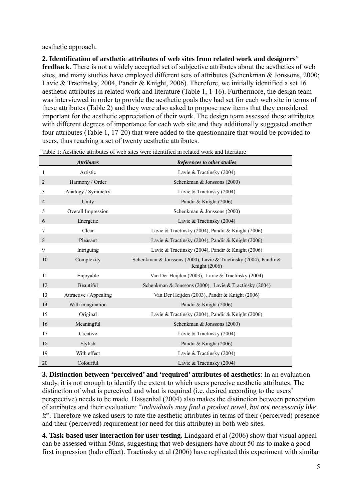aesthetic approach.

**2. Identification of aesthetic attributes of web sites from related work and designers' feedback**. There is not a widely accepted set of subjective attributes about the aesthetics of web sites, and many studies have employed different sets of attributes (Schenkman & Jonssons, 2000; Lavie & Tractinsky, 2004, Pandir & Knight, 2006). Therefore, we initially identified a set 16 aesthetic attributes in related work and literature ([Table 1](#page-4-0), 1-16). Furthermore, the design team was interviewed in order to provide the aesthetic goals they had set for each web site in terms of these attributes (Table 2) and they were also asked to propose new items that they considered important for the aesthetic appreciation of their work. The design team assessed these attributes with different degrees of importance for each web site and they additionally suggested another four attributes (Table 1, 17-20) that were added to the questionnaire that would be provided to users, thus reaching a set of twenty aesthetic attributes.

<span id="page-4-0"></span>

|                | <b>Attributes</b>      | <b>References to other studies</b>                                                |
|----------------|------------------------|-----------------------------------------------------------------------------------|
| 1              | Artistic               | Lavie & Tractinsky $(2004)$                                                       |
| $\overline{2}$ | Harmony / Order        | Schenkman & Jonssons (2000)                                                       |
| 3              | Analogy / Symmetry     | Lavie & Tractinsky (2004)                                                         |
| 4              | Unity                  | Pandir & Knight (2006)                                                            |
| 5              | Overall Impression     | Schenkman & Jonssons (2000)                                                       |
| 6              | Energetic              | Lavie & Tractinsky $(2004)$                                                       |
| 7              | Clear                  | Lavie & Tractinsky (2004), Pandir & Knight (2006)                                 |
| 8              | Pleasant               | Lavie & Tractinsky (2004), Pandir & Knight (2006)                                 |
| 9              | Intriguing             | Lavie & Tractinsky (2004), Pandir & Knight (2006)                                 |
| 10             | Complexity             | Schenkman & Jonssons (2000), Lavie & Tractinsky (2004), Pandir &<br>Knight (2006) |
| 11             | Enjoyable              | Van Der Heijden (2003), Lavie & Tractinsky (2004)                                 |
| 12             | Beautiful              | Schenkman & Jonssons (2000), Lavie & Tractinsky (2004)                            |
| 13             | Attractive / Appealing | Van Der Heijden (2003), Pandir & Knight (2006)                                    |
| 14             | With imagination       | Pandir & Knight (2006)                                                            |
| 15             | Original               | Lavie & Tractinsky (2004), Pandir & Knight (2006)                                 |
| 16             | Meaningful             | Schenkman & Jonssons (2000)                                                       |
| 17             | Creative               | Lavie & Tractinsky (2004)                                                         |
| 18             | Stylish                | Pandir & Knight (2006)                                                            |
| 19             | With effect            | Lavie & Tractinsky (2004)                                                         |
| 20             | Colourful              | Lavie & Tractinsky (2004)                                                         |

Table 1: Aesthetic attributes of web sites were identified in related work and literature

**3. Distinction between 'perceived' and 'required' attributes of aesthetics**: In an evaluation study, it is not enough to identify the extent to which users perceive aesthetic attributes. The distinction of what is perceived and what is required (i.e. desired according to the users' perspective) needs to be made. Hassenhal (2004) also makes the distinction between perception of attributes and their evaluation: "*individuals may find a product novel, but not necessarily like it*". Therefore we asked users to rate the aesthetic attributes in terms of their (perceived) presence and their (perceived) requirement (or need for this attribute) in both web sites.

**4. Task-based user interaction for user testing.** Lindgaard et al (2006) show that visual appeal can be assessed within 50ms, suggesting that web designers have about 50 ms to make a good first impression (halo effect). Tractinsky et al (2006) have replicated this experiment with similar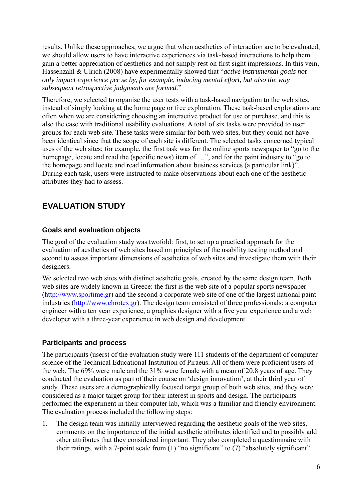results. Unlike these approaches, we argue that when aesthetics of interaction are to be evaluated, we should allow users to have interactive experiences via task-based interactions to help them gain a better appreciation of aesthetics and not simply rest on first sight impressions. In this vein, Hassenzahl & Ulrich (2008) have experimentally showed that "*active instrumental goals not only impact experience per se by, for example, inducing mental effort, but also the way subsequent retrospective judgments are formed.*"

Therefore, we selected to organise the user tests with a task-based navigation to the web sites, instead of simply looking at the home page or free exploration. These task-based explorations are often when we are considering choosing an interactive product for use or purchase, and this is also the case with traditional usability evaluations. A total of six tasks were provided to user groups for each web site. These tasks were similar for both web sites, but they could not have been identical since that the scope of each site is different. The selected tasks concerned typical uses of the web sites; for example, the first task was for the online sports newspaper to "go to the homepage, locate and read the (specific news) item of ...", and for the paint industry to "go to the homepage and locate and read information about business services (a particular link)". During each task, users were instructed to make observations about each one of the aesthetic attributes they had to assess.

# **EVALUATION STUDY**

### **Goals and evaluation objects**

The goal of the evaluation study was twofold: first, to set up a practical approach for the evaluation of aesthetics of web sites based on principles of the usability testing method and second to assess important dimensions of aesthetics of web sites and investigate them with their designers.

We selected two web sites with distinct aesthetic goals, created by the same design team. Both web sites are widely known in Greece: the first is the web site of a popular sports newspaper ([http://www.sportime.gr\)](http://www.sportime.gr/) and the second a corporate web site of one of the largest national paint industries ([http://www.chrotex.gr](http://www.chrotex.gr/)). The design team consisted of three professionals: a computer engineer with a ten year experience, a graphics designer with a five year experience and a web developer with a three-year experience in web design and development.

### **Participants and process**

The participants (users) of the evaluation study were 111 students of the department of computer science of the Technical Educational Institution of Piraeus. All of them were proficient users of the web. The 69% were male and the 31% were female with a mean of 20.8 years of age. They conducted the evaluation as part of their course on 'design innovation', at their third year of study. These users are a demographically focused target group of both web sites, and they were considered as a major target group for their interest in sports and design. The participants performed the experiment in their computer lab, which was a familiar and friendly environment. The evaluation process included the following steps:

1. The design team was initially interviewed regarding the aesthetic goals of the web sites, comments on the importance of the initial aesthetic attributes identified and to possibly add other attributes that they considered important. They also completed a questionnaire with their ratings, with a 7-point scale from (1) "no significant" to (7) "absolutely significant".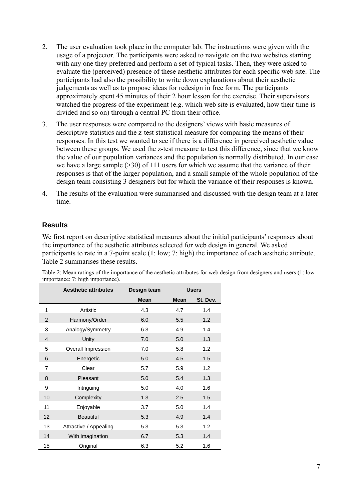- 2. The user evaluation took place in the computer lab. The instructions were given with the usage of a projector. The participants were asked to navigate on the two websites starting with any one they preferred and perform a set of typical tasks. Then, they were asked to evaluate the (perceived) presence of these aesthetic attributes for each specific web site. The participants had also the possibility to write down explanations about their aesthetic judgements as well as to propose ideas for redesign in free form. The participants approximately spent 45 minutes of their 2 hour lesson for the exercise. Their supervisors watched the progress of the experiment (e.g. which web site is evaluated, how their time is divided and so on) through a central PC from their office.
- 3. The user responses were compared to the designers' views with basic measures of descriptive statistics and the z-test statistical measure for comparing the means of their responses. In this test we wanted to see if there is a difference in perceived aesthetic value between these groups. We used the z-test measure to test this difference, since that we know the value of our population variances and the population is normally distributed. In our case we have a large sample (>30) of 111 users for which we assume that the variance of their responses is that of the larger population, and a small sample of the whole population of the design team consisting 3 designers but for which the variance of their responses is known.
- 4. The results of the evaluation were summarised and discussed with the design team at a later time.

### **Results**

We first report on descriptive statistical measures about the initial participants' responses about the importance of the aesthetic attributes selected for web design in general. We asked participants to rate in a 7-point scale (1: low; 7: high) the importance of each aesthetic attribute. Table 2 summarises these results.

|                                  | Table 2: Mean ratings of the importance of the aesthetic attributes for web design from designers and users (1: low |  |  |  |
|----------------------------------|---------------------------------------------------------------------------------------------------------------------|--|--|--|
| importance; 7: high importance). |                                                                                                                     |  |  |  |

|                | <b>Aesthetic attributes</b> | Design team | <b>Users</b> |          |  |
|----------------|-----------------------------|-------------|--------------|----------|--|
|                |                             | <b>Mean</b> | <b>Mean</b>  | St. Dev. |  |
| 1              | Artistic                    | 4.3         | 4.7          | 1.4      |  |
| $\overline{2}$ | Harmony/Order               | 6.0         | 5.5          | 1.2      |  |
| 3              | Analogy/Symmetry            | 6.3         | 4.9          | 1.4      |  |
| $\overline{4}$ | Unity                       | 7.0         | 5.0          | 1.3      |  |
| 5              | Overall Impression          | 7.0         | 5.8          | 1.2      |  |
| 6              | Energetic                   | 5.0         | 4.5          | 1.5      |  |
| 7              | Clear                       | 5.7         | 5.9          | 1.2      |  |
| 8              | Pleasant                    | 5.0         | 5.4          | 1.3      |  |
| 9              | Intriguing                  | 5.0         | 4.0          | 1.6      |  |
| 10             | Complexity                  | 1.3         | 2.5          | 1.5      |  |
| 11             | Enjoyable                   | 3.7         | 5.0          | 1.4      |  |
| 12             | <b>Beautiful</b>            | 5.3         | 4.9          | 1.4      |  |
| 13             | Attractive / Appealing      | 5.3         | 5.3          | 1.2      |  |
| 14             | With imagination            | 6.7         | 5.3          | 1.4      |  |
| 15             | Original                    | 6.3         | 5.2          | 1.6      |  |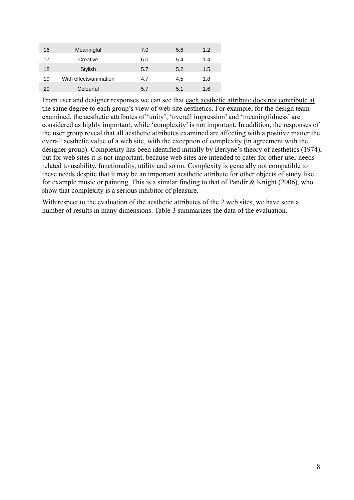| 16 | Meaningful             | 7.0 | 5.6 | 1.2     |
|----|------------------------|-----|-----|---------|
| 17 | Creative               | 6.0 | 5.4 | 1.4     |
| 18 | Stylish                | 5.7 | 5.2 | $1.5\,$ |
| 19 | With effects/animation | 4.7 | 4.5 | 1.8     |
| 20 | Colourful              | 5.7 | 5.1 | 1.6     |

From user and designer responses we can see that each aesthetic attribute does not contribute at the same degree to each group's view of web site aesthetics. For example, for the design team examined, the aesthetic attributes of 'unity', 'overall impression' and 'meaningfulness' are considered as highly important, while 'complexity' is not important. In addition, the responses of the user group reveal that all aesthetic attributes examined are affecting with a positive matter the overall aesthetic value of a web site, with the exception of complexity (in agreement with the designer group). Complexity has been identified initially by Berlyne's theory of aesthetics (1974), but for web sites it is not important, because web sites are intended to cater for other user needs related to usability, functionality, utility and so on. Complexity is generally not compatible to these needs despite that it may be an important aesthetic attribute for other objects of study like for example music or painting. This is a similar finding to that of Pandir & Knight (2006), who show that complexity is a serious inhibitor of pleasure.

With respect to the evaluation of the aesthetic attributes of the 2 web sites, we have seen a number of results in many dimensions. Table 3 summarizes the data of the evaluation.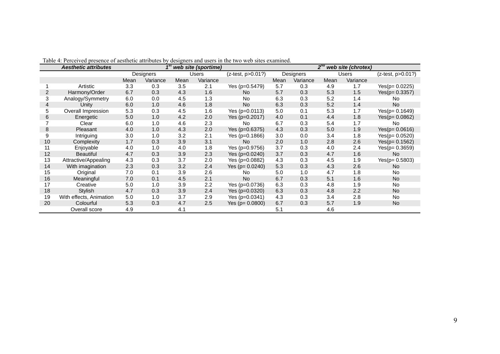|    | <b>Aesthetic attributes</b> | $1st$ web site (sportime) |          |                   |          | web site (chrotex)   |              |          |                   |          |                   |
|----|-----------------------------|---------------------------|----------|-------------------|----------|----------------------|--------------|----------|-------------------|----------|-------------------|
|    |                             | Designers<br>Users        |          | (z-test, p>0.01?) |          | Designers            | <b>Users</b> |          | (z-test, p>0.01?) |          |                   |
|    |                             | Mean                      | Variance | Mean              | Variance |                      | Mean         | Variance | Mean              | Variance |                   |
|    | Artistic                    | 3.3                       | 0.3      | 3.5               | 2.1      | Yes (p=0.5479)       | 5.7          | 0.3      | 4.9               | 1.7      | Yes(p= 0.0225)    |
| 2  | Harmony/Order               | 6.7                       | 0.3      | 4.3               | 1.6      | N <sub>o</sub>       | 5.7          | 0.3      | 5.3               | 1.5      | Yes(p= 0.3357)    |
| 3  | Analogy/Symmetry            | 6.0                       | 0.0      | 4.5               | 1.3      | <b>No</b>            | 6.3          | 0.3      | 5.2               | 1.4      | <b>No</b>         |
| 4  | Unity                       | 6.0                       | 1.0      | 4.6               | 1.8      | <b>No</b>            | 6.3          | 0.3      | 5.2               | 1.4      | <b>No</b>         |
| 5  | Overall Impression          | 5.3                       | 0.3      | 4.5               | 1.6      | Yes (p=0.0113)       | 5.0          | 0.1      | 5.3               | 1.7      | $Yes(p = 0.1649)$ |
| 6  | Energetic                   | 5.0                       | 1.0      | 4.2               | 2.0      | Yes (p=0.2017)       | 4.0          | 0.1      | 4.4               | 1.8      | Yes(p= 0.0862)    |
|    | Clear                       | 6.0                       | 1.0      | 4.6               | 2.3      | <b>No</b>            | 6.7          | 0.3      | 5.4               | 1.7      | <b>No</b>         |
| 8  | Pleasant                    | 4.0                       | 1.0      | 4.3               | 2.0      | Yes (p=0.6375)       | 4.3          | 0.3      | 5.0               | 1.9      | $Yes(p = 0.0616)$ |
| 9  | Intriguing                  | 3.0                       | 1.0      | 3.2               | 2.1      | Yes (p=0.1866)       | 3.0          | 0.0      | 3.4               | 1.8      | Yes(p= 0.0520)    |
| 10 | Complexity                  | 1.7                       | 0.3      | 3.9               | 3.1      | <b>No</b>            | 2.0          | 1.0      | 2.8               | 2.6      | $Yes(p = 0.1562)$ |
| 11 | Enjoyable                   | 4.0                       | 1.0      | 4.0               | 1.8      | Yes (p=0.9756)       | 3.7          | 0.3      | 4.0               | 2.4      | Yes(p= 0.3659)    |
| 12 | <b>Beautiful</b>            | 4.7                       | 0.3      | 3.9               | 2.3      | Yes $(p=0.0240)$     | 3.7          | 0.3      | 4.7               | 1.6      | <b>No</b>         |
| 13 | Attractive/Appealing        | 4.3                       | 0.3      | 3.7               | 2.0      | Yes (p=0.0882)       | 4.3          | 0.3      | 4.5               | 1.9      | $Yes(p = 0.5803)$ |
| 14 | With imagination            | 2.3                       | 0.3      | 3.2               | 2.4      | Yes ( $p = 0.0240$ ) | 5.3          | 0.3      | 4.3               | 2.6      | <b>No</b>         |
| 15 | Original                    | 7.0                       | 0.1      | 3.9               | 2.6      | <b>No</b>            | 5.0          | 1.0      | 4.7               | 1.8      | No                |
| 16 | Meaningful                  | 7.0                       | 0.1      | 4.5               | 2.1      | <b>No</b>            | 6.7          | 0.3      | 5.1               | 1.6      | <b>No</b>         |
| 17 | Creative                    | 5.0                       | 1.0      | 3.9               | 2.2      | Yes (p=0.0736)       | 6.3          | 0.3      | 4.8               | 1.9      | <b>No</b>         |
| 18 | <b>Stylish</b>              | 4.7                       | 0.3      | 3.9               | 2.4      | Yes (p=0.0320)       | 6.3          | 0.3      | 4.8               | 2.2      | <b>No</b>         |
| 19 | With effects, Animation     | 5.0                       | 1.0      | 3.7               | 2.9      | Yes (p=0.0341)       | 4.3          | 0.3      | 3.4               | 2.8      | <b>No</b>         |
| 20 | Colourful                   | 5.3                       | 0.3      | 4.7               | 2.5      | Yes ( $p = 0.0800$ ) | 6.7          | 0.3      | 5.7               | 1.9      | <b>No</b>         |
|    | Overall score               | 4.9                       |          | 4.1               |          |                      | 5.1          |          | 4.6               |          |                   |

Table 4: Perceived presence of aesthetic attributes by designers and users in the two web sites examined.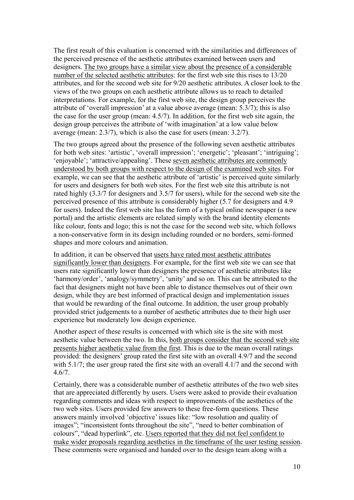The first result of this evaluation is concerned with the similarities and differences of the perceived presence of the aesthetic attributes examined between users and designers. The two groups have a similar view about the presence of a considerable number of the selected aesthetic attributes: for the first web site this rises to 13/20 attributes, and for the second web site for 9/20 aesthetic attributes. A closer look to the views of the two groups on each aesthetic attribute allows us to reach to detailed interpretations. For example, for the first web site, the design group perceives the attribute of 'overall impression' at a value above average (mean: 5.3/7); this is also the case for the user group (mean: 4.5/7). In addition, for the first web site again, the design group perceives the attribute of 'with imagination' at a low value below average (mean: 2.3/7), which is also the case for users (mean: 3.2/7).

The two groups agreed about the presence of the following seven aesthetic attributes for both web sites: 'artistic', 'overall impression'; 'energetic'; 'pleasant'; 'intriguing'; 'enjoyable'; 'attractive/appealing'. These seven aesthetic attributes are commonly understood by both groups with respect to the design of the examined web sites. For example, we can see that the aesthetic attribute of 'artistic' is perceived quite similarly for users and designers for both web sites. For the first web site this attribute is not rated highly (3.3/7 for designers and 3.5/7 for users), while for the second web site the perceived presence of this attribute is considerably higher (5.7 for designers and 4.9 for users). Indeed the first web site has the form of a typical online newspaper (a new portal) and the artistic elements are related simply with the brand identity elements like colour, fonts and logo; this is not the case for the second web site, which follows a non-conservative form in its design including rounded or no borders, semi-formed shapes and more colours and animation.

In addition, it can be observed that users have rated most aesthetic attributes significantly lower than designers. For example, for the first web site we can see that users rate significantly lower than designers the presence of aesthetic attributes like 'harmony/order', 'analogy/symmetry', 'unity' and so on. This can be attributed to the fact that designers might not have been able to distance themselves out of their own design, while they are best informed of practical design and implementation issues that would be rewarding of the final outcome. In addition, the user group probably provided strict judgements to a number of aesthetic attributes due to their high user experience but moderately low design experience.

Another aspect of these results is concerned with which site is the site with most aesthetic value between the two. In this, both groups consider that the second web site presents higher aesthetic value from the first. This is due to the mean overall ratings provided: the designers' group rated the first site with an overall 4.9/7 and the second with 5.1/7; the user group rated the first site with an overall 4.1/7 and the second with 4.6/7.

Certainly, there was a considerable number of aesthetic attributes of the two web sites that are appreciated differently by users. Users were asked to provide their evaluation regarding comments and ideas with respect to improvements of the aesthetics of the two web sites. Users provided few answers to these free-form questions. These answers mainly involved 'objective' issues like: "low resolution and quality of images"; "inconsistent fonts throughout the site", "need to better combination of colours", "dead hyperlink", etc. Users reported that they did not feel confident to make wider proposals regarding aesthetics in the timeframe of the user testing session. These comments were organised and handed over to the design team along with a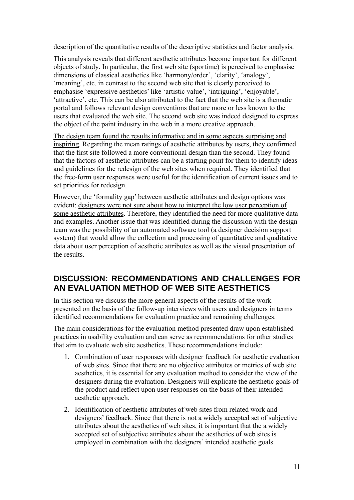description of the quantitative results of the descriptive statistics and factor analysis.

This analysis reveals that different aesthetic attributes become important for different objects of study. In particular, the first web site (sportime) is perceived to emphasise dimensions of classical aesthetics like 'harmony/order', 'clarity', 'analogy', 'meaning', etc. in contrast to the second web site that is clearly perceived to emphasise 'expressive aesthetics' like 'artistic value', 'intriguing', 'enjoyable', 'attractive', etc. This can be also attributed to the fact that the web site is a thematic portal and follows relevant design conventions that are more or less known to the users that evaluated the web site. The second web site was indeed designed to express the object of the paint industry in the web in a more creative approach.

The design team found the results informative and in some aspects surprising and inspiring. Regarding the mean ratings of aesthetic attributes by users, they confirmed that the first site followed a more conventional design than the second. They found that the factors of aesthetic attributes can be a starting point for them to identify ideas and guidelines for the redesign of the web sites when required. They identified that the free-form user responses were useful for the identification of current issues and to set priorities for redesign.

However, the 'formality gap' between aesthetic attributes and design options was evident: designers were not sure about how to interpret the low user perception of some aesthetic attributes. Therefore, they identified the need for more qualitative data and examples. Another issue that was identified during the discussion with the design team was the possibility of an automated software tool (a designer decision support system) that would allow the collection and processing of quantitative and qualitative data about user perception of aesthetic attributes as well as the visual presentation of the results.

## **DISCUSSION: RECOMMENDATIONS AND CHALLENGES FOR AN EVALUATION METHOD OF WEB SITE AESTHETICS**

In this section we discuss the more general aspects of the results of the work presented on the basis of the follow-up interviews with users and designers in terms identified recommendations for evaluation practice and remaining challenges.

The main considerations for the evaluation method presented draw upon established practices in usability evaluation and can serve as recommendations for other studies that aim to evaluate web site aesthetics. These recommendations include:

- 1. Combination of user responses with designer feedback for aesthetic evaluation of web sites. Since that there are no objective attributes or metrics of web site aesthetics, it is essential for any evaluation method to consider the view of the designers during the evaluation. Designers will explicate the aesthetic goals of the product and reflect upon user responses on the basis of their intended aesthetic approach.
- 2. Identification of aesthetic attributes of web sites from related work and designers' feedback. Since that there is not a widely accepted set of subjective attributes about the aesthetics of web sites, it is important that the a widely accepted set of subjective attributes about the aesthetics of web sites is employed in combination with the designers' intended aesthetic goals.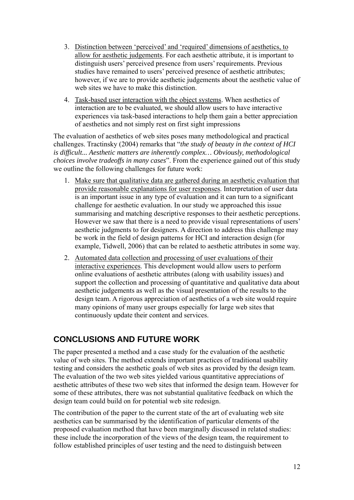- 3. Distinction between 'perceived' and 'required' dimensions of aesthetics, to allow for aesthetic judgements. For each aesthetic attribute, it is important to distinguish users' perceived presence from users' requirements. Previous studies have remained to users' perceived presence of aesthetic attributes; however, if we are to provide aesthetic judgements about the aesthetic value of web sites we have to make this distinction.
- 4. Task-based user interaction with the object systems. When aesthetics of interaction are to be evaluated, we should allow users to have interactive experiences via task-based interactions to help them gain a better appreciation of aesthetics and not simply rest on first sight impressions

The evaluation of aesthetics of web sites poses many methodological and practical challenges. Tractinsky (2004) remarks that "*the study of beauty in the context of HCI is difficult... Aesthetic matters are inherently complex… Obviously, methodological choices involve tradeoffs in many cases*". From the experience gained out of this study we outline the following challenges for future work:

- 1. Make sure that qualitative data are gathered during an aesthetic evaluation that provide reasonable explanations for user responses. Interpretation of user data is an important issue in any type of evaluation and it can turn to a significant challenge for aesthetic evaluation. In our study we approached this issue summarising and matching descriptive responses to their aesthetic perceptions. However we saw that there is a need to provide visual representations of users' aesthetic judgments to for designers. A direction to address this challenge may be work in the field of design patterns for HCI and interaction design (for example, Tidwell, 2006) that can be related to aesthetic attributes in some way.
- 2. Automated data collection and processing of user evaluations of their interactive experiences. This development would allow users to perform online evaluations of aesthetic attributes (along with usability issues) and support the collection and processing of quantitative and qualitative data about aesthetic judgements as well as the visual presentation of the results to the design team. A rigorous appreciation of aesthetics of a web site would require many opinions of many user groups especially for large web sites that continuously update their content and services.

# **CONCLUSIONS AND FUTURE WORK**

The paper presented a method and a case study for the evaluation of the aesthetic value of web sites. The method extends important practices of traditional usability testing and considers the aesthetic goals of web sites as provided by the design team. The evaluation of the two web sites yielded various quantitative appreciations of aesthetic attributes of these two web sites that informed the design team. However for some of these attributes, there was not substantial qualitative feedback on which the design team could build on for potential web site redesign.

The contribution of the paper to the current state of the art of evaluating web site aesthetics can be summarised by the identification of particular elements of the proposed evaluation method that have been marginally discussed in related studies: these include the incorporation of the views of the design team, the requirement to follow established principles of user testing and the need to distinguish between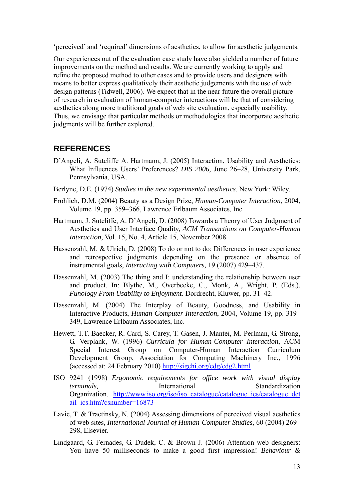'perceived' and 'required' dimensions of aesthetics, to allow for aesthetic judgements.

Our experiences out of the evaluation case study have also yielded a number of future improvements on the method and results. We are currently working to apply and refine the proposed method to other cases and to provide users and designers with means to better express qualitatively their aesthetic judgements with the use of web design patterns (Tidwell, 2006). We expect that in the near future the overall picture of research in evaluation of human-computer interactions will be that of considering aesthetics along more traditional goals of web site evaluation, especially usability. Thus, we envisage that particular methods or methodologies that incorporate aesthetic judgments will be further explored.

### **REFERENCES**

- D'Angeli, A. Sutcliffe A. Hartmann, J. (2005) Interaction, Usability and Aesthetics: What Influences Users' Preferences? *DIS 2006*, June 26–28, University Park, Pennsylvania, USA.
- Berlyne, D.E. (1974) *Studies in the new experimental aesthetics*. New York: Wiley.
- Frohlich, D.M. (2004) Beauty as a Design Prize, *Human-Computer Interaction*, 2004, Volume 19, pp. 359–366, Lawrence Erlbaum Associates, Inc
- Hartmann, J. Sutcliffe, A. D'Angeli, D. (2008) Towards a Theory of User Judgment of Aesthetics and User Interface Quality, *ACM Transactions on Computer-Human Interaction*, Vol. 15, No. 4, Article 15, November 2008.
- Hassenzahl, M. & Ulrich, D. (2008) To do or not to do: Differences in user experience and retrospective judgments depending on the presence or absence of instrumental goals, *Interacting with Computers,* 19 (2007) 429–437.
- Hassenzahl, M. (2003) The thing and I: understanding the relationship between user and product. In: Blythe, M., Overbeeke, C., Monk, A., Wright, P. (Eds.), *Funology From Usability to Enjoyment*. Dordrecht, Kluwer, pp. 31–42.
- Hassenzahl, Μ. (2004) The Interplay of Beauty, Goodness, and Usability in Interactive Products, *Human-Computer Interaction*, 2004, Volume 19, pp. 319– 349, Lawrence Erlbaum Associates, Inc.
- Hewett, T.T. Baecker, R. Card, S. Carey, T. Gasen, J. Mantei, M. Perlman, G. Strong, G. Verplank, W. (1996) *Curricula for Human-Computer Interaction*, ACM Special Interest Group on Computer-Human Interaction Curriculum Development Group, Association for Computing Machinery Inc., 1996 (accessed at: 24 February 2010)<http://sigchi.org/cdg/cdg2.html>
- ISO 9241 (1998) *Ergonomic requirements for office work with visual display terminals*, **International** Standardization Organization. [http://www.iso.org/iso/iso\\_catalogue/catalogue\\_ics/catalogue\\_det](http://www.iso.org/iso/iso_catalogue/catalogue_ics/catalogue_detail_ics.htm?csnumber=16873) [ail\\_ics.htm?csnu](http://www.iso.org/iso/iso_catalogue/catalogue_ics/catalogue_detail_ics.htm?csnumber=16873)mber=16873
- Lavie, T. & Tractinsky, N. (2004) Assessing dimensions of perceived visual aesthetics of web sites, *International Journal of Human-Computer Studies,* 60 (2004) 269– 298, Elsevier.
- Lindgaard, G. Fernades, G. Dudek, C. & Brown J. (2006) Attention web designers: You have 50 milliseconds to make a good first impression! *Behaviour &*